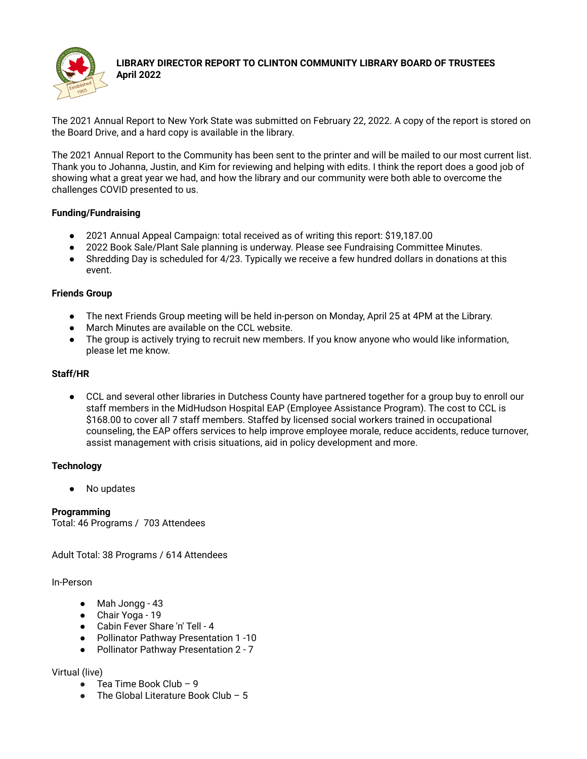

#### **LIBRARY DIRECTOR REPORT TO CLINTON COMMUNITY LIBRARY BOARD OF TRUSTEES April 2022**

The 2021 Annual Report to New York State was submitted on February 22, 2022. A copy of the report is stored on the Board Drive, and a hard copy is available in the library.

The 2021 Annual Report to the Community has been sent to the printer and will be mailed to our most current list. Thank you to Johanna, Justin, and Kim for reviewing and helping with edits. I think the report does a good job of showing what a great year we had, and how the library and our community were both able to overcome the challenges COVID presented to us.

# **Funding/Fundraising**

- 2021 Annual Appeal Campaign: total received as of writing this report: \$19,187.00
- 2022 Book Sale/Plant Sale planning is underway. Please see Fundraising Committee Minutes.
- Shredding Day is scheduled for 4/23. Typically we receive a few hundred dollars in donations at this event.

#### **Friends Group**

- The next Friends Group meeting will be held in-person on Monday, April 25 at 4PM at the Library.
- March Minutes are available on the CCL website.
- The group is actively trying to recruit new members. If you know anyone who would like information, please let me know.

### **Staff/HR**

● CCL and several other libraries in Dutchess County have partnered together for a group buy to enroll our staff members in the MidHudson Hospital EAP (Employee Assistance Program). The cost to CCL is \$168.00 to cover all 7 staff members. Staffed by licensed social workers trained in occupational counseling, the EAP offers services to help improve employee morale, reduce accidents, reduce turnover, assist management with crisis situations, aid in policy development and more.

# **Technology**

No updates

**Programming** Total: 46 Programs / 703 Attendees

Adult Total: 38 Programs / 614 Attendees

In-Person

- Mah Jongg 43
- Chair Yoga 19
- Cabin Fever Share 'n' Tell 4
- Pollinator Pathway Presentation 1 -10
- Pollinator Pathway Presentation 2 7

Virtual (live)

- $\bullet$  Tea Time Book Club 9
- $\bullet$  The Global Literature Book Club 5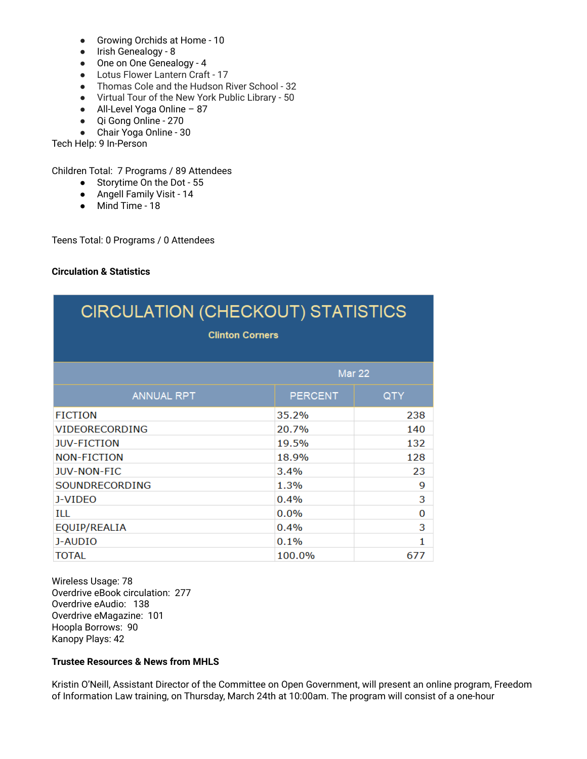- Growing Orchids at Home 10
- Irish Genealogy 8
- One on One Genealogy 4
- Lotus Flower Lantern Craft 17
- Thomas Cole and the Hudson River School 32
- Virtual Tour of the New York Public Library 50
- All-Level Yoga Online 87
- Qi Gong Online 270
- Chair Yoga Online 30

Tech Help: 9 In-Person

Children Total: 7 Programs / 89 Attendees

- Storytime On the Dot 55
- Angell Family Visit 14
- Mind Time 18

Teens Total: 0 Programs / 0 Attendees

### **Circulation & Statistics**

| <b>CIRCULATION (CHECKOUT) STATISTICS</b><br><b>Clinton Corners</b> |                |            |
|--------------------------------------------------------------------|----------------|------------|
|                                                                    | <b>Mar 22</b>  |            |
| <b>ANNUAL RPT</b>                                                  | <b>PERCENT</b> | <b>QTY</b> |
| <b>FICTION</b>                                                     | 35.2%          | 238        |
| <b>VIDEORECORDING</b>                                              | 20.7%          | 140        |
| <b>JUV-FICTION</b>                                                 | 19.5%          | 132        |
| <b>NON-FICTION</b>                                                 | 18.9%          | 128        |
| <b>JUV-NON-FIC</b>                                                 | 3.4%           | 23         |
| SOUNDRECORDING                                                     | 1.3%           | 9          |
| J-VIDEO                                                            | 0.4%           | 3          |
| ILL                                                                | $0.0\%$        | 0          |
| EQUIP/REALIA                                                       | 0.4%           | 3          |
| J-AUDIO                                                            | 0.1%           | 1          |
| TOTAL                                                              | 100.0%         | 677        |

Wireless Usage: 78 Overdrive eBook circulation: 277 Overdrive eAudio: 138 Overdrive eMagazine: 101 Hoopla Borrows: 90 Kanopy Plays: 42

# **Trustee Resources & News from MHLS**

Kristin O'Neill, Assistant Director of the Committee on Open Government, will present an online program, Freedom of Information Law training, on Thursday, March 24th at 10:00am. The program will consist of a one-hour